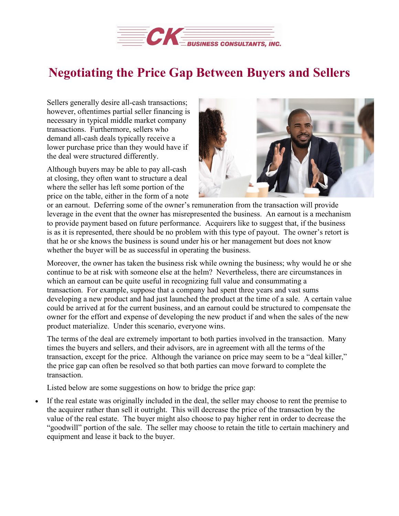

## **Negotiating the Price Gap Between Buyers and Sellers**

Sellers generally desire all-cash transactions; however, oftentimes partial seller financing is necessary in typical middle market company transactions. Furthermore, sellers who demand all-cash deals typically receive a lower purchase price than they would have if the deal were structured differently.

Although buyers may be able to pay all-cash at closing, they often want to structure a deal where the seller has left some portion of the price on the table, either in the form of a note



or an earnout. Deferring some of the owner's remuneration from the transaction will provide leverage in the event that the owner has misrepresented the business. An earnout is a mechanism to provide payment based on future performance. Acquirers like to suggest that, if the business is as it is represented, there should be no problem with this type of payout. The owner's retort is that he or she knows the business is sound under his or her management but does not know whether the buyer will be as successful in operating the business.

Moreover, the owner has taken the business risk while owning the business; why would he or she continue to be at risk with someone else at the helm? Nevertheless, there are circumstances in which an earnout can be quite useful in recognizing full value and consummating a transaction. For example, suppose that a company had spent three years and vast sums developing a new product and had just launched the product at the time of a sale. A certain value could be arrived at for the current business, and an earnout could be structured to compensate the owner for the effort and expense of developing the new product if and when the sales of the new product materialize. Under this scenario, everyone wins.

The terms of the deal are extremely important to both parties involved in the transaction. Many times the buyers and sellers, and their advisors, are in agreement with all the terms of the transaction, except for the price. Although the variance on price may seem to be a "deal killer," the price gap can often be resolved so that both parties can move forward to complete the transaction.

Listed below are some suggestions on how to bridge the price gap:

If the real estate was originally included in the deal, the seller may choose to rent the premise to the acquirer rather than sell it outright. This will decrease the price of the transaction by the value of the real estate. The buyer might also choose to pay higher rent in order to decrease the "goodwill" portion of the sale. The seller may choose to retain the title to certain machinery and equipment and lease it back to the buyer.